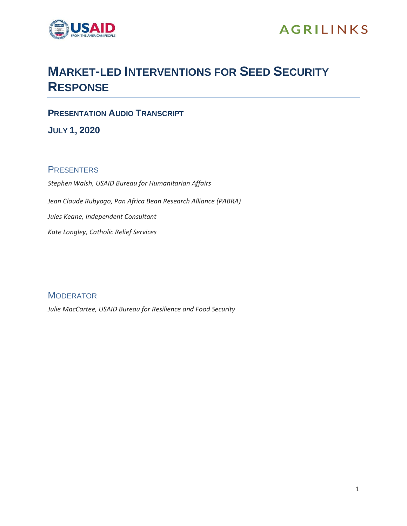

# **MARKET-LED INTERVENTIONS FOR SEED SECURITY RESPONSE**

**PRESENTATION AUDIO TRANSCRIPT**

**JULY 1, 2020**

## **PRESENTERS**

*Stephen Walsh, USAID Bureau for Humanitarian Affairs Jean Claude Rubyogo, Pan Africa Bean Research Alliance (PABRA) Jules Keane, Independent Consultant Kate Longley, Catholic Relief Services*

**MODERATOR** *Julie MacCartee, USAID Bureau for Resilience and Food Security*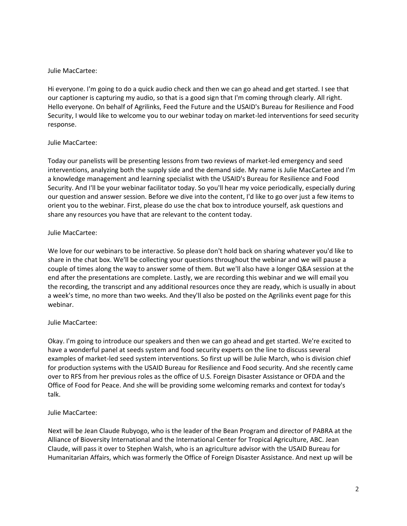#### Julie MacCartee:

Hi everyone. I'm going to do a quick audio check and then we can go ahead and get started. I see that our captioner is capturing my audio, so that is a good sign that I'm coming through clearly. All right. Hello everyone. On behalf of Agrilinks, Feed the Future and the USAID's Bureau for Resilience and Food Security, I would like to welcome you to our webinar today on market-led interventions for seed security response.

## Julie MacCartee:

Today our panelists will be presenting lessons from two reviews of market-led emergency and seed interventions, analyzing both the supply side and the demand side. My name is Julie MacCartee and I'm a knowledge management and learning specialist with the USAID's Bureau for Resilience and Food Security. And I'll be your webinar facilitator today. So you'll hear my voice periodically, especially during our question and answer session. Before we dive into the content, I'd like to go over just a few items to orient you to the webinar. First, please do use the chat box to introduce yourself, ask questions and share any resources you have that are relevant to the content today.

## Julie MacCartee:

We love for our webinars to be interactive. So please don't hold back on sharing whatever you'd like to share in the chat box. We'll be collecting your questions throughout the webinar and we will pause a couple of times along the way to answer some of them. But we'll also have a longer Q&A session at the end after the presentations are complete. Lastly, we are recording this webinar and we will email you the recording, the transcript and any additional resources once they are ready, which is usually in about a week's time, no more than two weeks. And they'll also be posted on the Agrilinks event page for this webinar.

## Julie MacCartee:

Okay. I'm going to introduce our speakers and then we can go ahead and get started. We're excited to have a wonderful panel at seeds system and food security experts on the line to discuss several examples of market-led seed system interventions. So first up will be Julie March, who is division chief for production systems with the USAID Bureau for Resilience and Food security. And she recently came over to RFS from her previous roles as the office of U.S. Foreign Disaster Assistance or OFDA and the Office of Food for Peace. And she will be providing some welcoming remarks and context for today's talk.

## Julie MacCartee:

Next will be Jean Claude Rubyogo, who is the leader of the Bean Program and director of PABRA at the Alliance of Bioversity International and the International Center for Tropical Agriculture, ABC. Jean Claude, will pass it over to Stephen Walsh, who is an agriculture advisor with the USAID Bureau for Humanitarian Affairs, which was formerly the Office of Foreign Disaster Assistance. And next up will be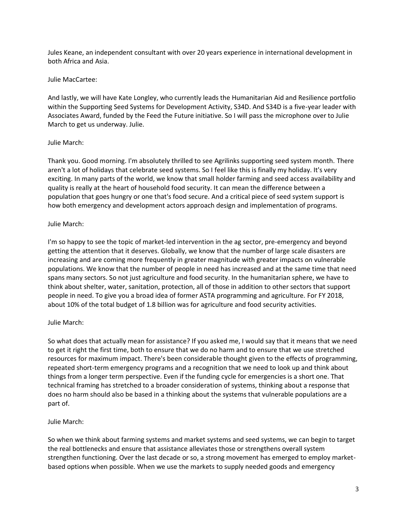Jules Keane, an independent consultant with over 20 years experience in international development in both Africa and Asia.

#### Julie MacCartee:

And lastly, we will have Kate Longley, who currently leads the Humanitarian Aid and Resilience portfolio within the Supporting Seed Systems for Development Activity, S34D. And S34D is a five-year leader with Associates Award, funded by the Feed the Future initiative. So I will pass the microphone over to Julie March to get us underway. Julie.

#### Julie March:

Thank you. Good morning. I'm absolutely thrilled to see Agrilinks supporting seed system month. There aren't a lot of holidays that celebrate seed systems. So I feel like this is finally my holiday. It's very exciting. In many parts of the world, we know that small holder farming and seed access availability and quality is really at the heart of household food security. It can mean the difference between a population that goes hungry or one that's food secure. And a critical piece of seed system support is how both emergency and development actors approach design and implementation of programs.

#### Julie March:

I'm so happy to see the topic of market-led intervention in the ag sector, pre-emergency and beyond getting the attention that it deserves. Globally, we know that the number of large scale disasters are increasing and are coming more frequently in greater magnitude with greater impacts on vulnerable populations. We know that the number of people in need has increased and at the same time that need spans many sectors. So not just agriculture and food security. In the humanitarian sphere, we have to think about shelter, water, sanitation, protection, all of those in addition to other sectors that support people in need. To give you a broad idea of former ASTA programming and agriculture. For FY 2018, about 10% of the total budget of 1.8 billion was for agriculture and food security activities.

#### Julie March:

So what does that actually mean for assistance? If you asked me, I would say that it means that we need to get it right the first time, both to ensure that we do no harm and to ensure that we use stretched resources for maximum impact. There's been considerable thought given to the effects of programming, repeated short-term emergency programs and a recognition that we need to look up and think about things from a longer term perspective. Even if the funding cycle for emergencies is a short one. That technical framing has stretched to a broader consideration of systems, thinking about a response that does no harm should also be based in a thinking about the systems that vulnerable populations are a part of.

#### Julie March:

So when we think about farming systems and market systems and seed systems, we can begin to target the real bottlenecks and ensure that assistance alleviates those or strengthens overall system strengthen functioning. Over the last decade or so, a strong movement has emerged to employ marketbased options when possible. When we use the markets to supply needed goods and emergency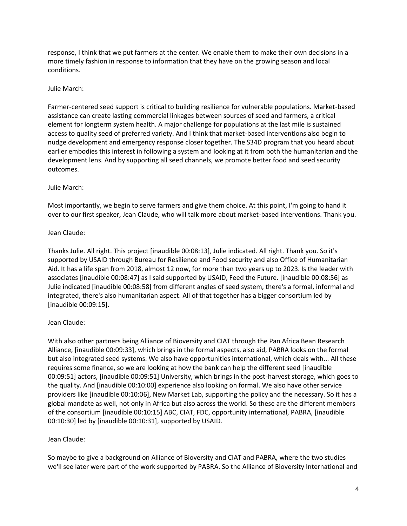response, I think that we put farmers at the center. We enable them to make their own decisions in a more timely fashion in response to information that they have on the growing season and local conditions.

#### Julie March:

Farmer-centered seed support is critical to building resilience for vulnerable populations. Market-based assistance can create lasting commercial linkages between sources of seed and farmers, a critical element for longterm system health. A major challenge for populations at the last mile is sustained access to quality seed of preferred variety. And I think that market-based interventions also begin to nudge development and emergency response closer together. The S34D program that you heard about earlier embodies this interest in following a system and looking at it from both the humanitarian and the development lens. And by supporting all seed channels, we promote better food and seed security outcomes.

## Julie March:

Most importantly, we begin to serve farmers and give them choice. At this point, I'm going to hand it over to our first speaker, Jean Claude, who will talk more about market-based interventions. Thank you.

## Jean Claude:

Thanks Julie. All right. This project [inaudible 00:08:13], Julie indicated. All right. Thank you. So it's supported by USAID through Bureau for Resilience and Food security and also Office of Humanitarian Aid. It has a life span from 2018, almost 12 now, for more than two years up to 2023. Is the leader with associates [inaudible 00:08:47] as I said supported by USAID, Feed the Future. [inaudible 00:08:56] as Julie indicated [inaudible 00:08:58] from different angles of seed system, there's a formal, informal and integrated, there's also humanitarian aspect. All of that together has a bigger consortium led by [inaudible 00:09:15].

## Jean Claude:

With also other partners being Alliance of Bioversity and CIAT through the Pan Africa Bean Research Alliance, [inaudible 00:09:33], which brings in the formal aspects, also aid, PABRA looks on the formal but also integrated seed systems. We also have opportunities international, which deals with... All these requires some finance, so we are looking at how the bank can help the different seed [inaudible 00:09:51] actors, [inaudible 00:09:51] University, which brings in the post-harvest storage, which goes to the quality. And [inaudible 00:10:00] experience also looking on formal. We also have other service providers like [inaudible 00:10:06], New Market Lab, supporting the policy and the necessary. So it has a global mandate as well, not only in Africa but also across the world. So these are the different members of the consortium [inaudible 00:10:15] ABC, CIAT, FDC, opportunity international, PABRA, [inaudible 00:10:30] led by [inaudible 00:10:31], supported by USAID.

#### Jean Claude:

So maybe to give a background on Alliance of Bioversity and CIAT and PABRA, where the two studies we'll see later were part of the work supported by PABRA. So the Alliance of Bioversity International and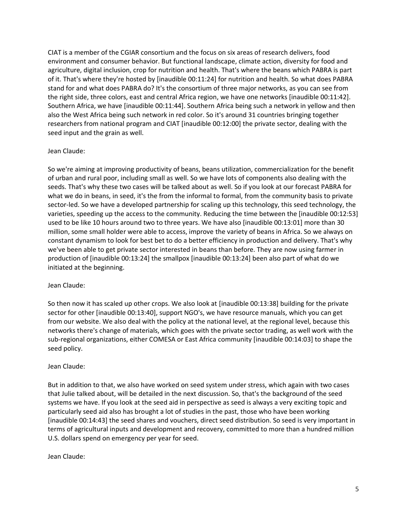CIAT is a member of the CGIAR consortium and the focus on six areas of research delivers, food environment and consumer behavior. But functional landscape, climate action, diversity for food and agriculture, digital inclusion, crop for nutrition and health. That's where the beans which PABRA is part of it. That's where they're hosted by [inaudible 00:11:24] for nutrition and health. So what does PABRA stand for and what does PABRA do? It's the consortium of three major networks, as you can see from the right side, three colors, east and central Africa region, we have one networks [inaudible 00:11:42]. Southern Africa, we have [inaudible 00:11:44]. Southern Africa being such a network in yellow and then also the West Africa being such network in red color. So it's around 31 countries bringing together researchers from national program and CIAT [inaudible 00:12:00] the private sector, dealing with the seed input and the grain as well.

#### Jean Claude:

So we're aiming at improving productivity of beans, beans utilization, commercialization for the benefit of urban and rural poor, including small as well. So we have lots of components also dealing with the seeds. That's why these two cases will be talked about as well. So if you look at our forecast PABRA for what we do in beans, in seed, it's the from the informal to formal, from the community basis to private sector-led. So we have a developed partnership for scaling up this technology, this seed technology, the varieties, speeding up the access to the community. Reducing the time between the [inaudible 00:12:53] used to be like 10 hours around two to three years. We have also [inaudible 00:13:01] more than 30 million, some small holder were able to access, improve the variety of beans in Africa. So we always on constant dynamism to look for best bet to do a better efficiency in production and delivery. That's why we've been able to get private sector interested in beans than before. They are now using farmer in production of [inaudible 00:13:24] the smallpox [inaudible 00:13:24] been also part of what do we initiated at the beginning.

#### Jean Claude:

So then now it has scaled up other crops. We also look at [inaudible 00:13:38] building for the private sector for other [inaudible 00:13:40], support NGO's, we have resource manuals, which you can get from our website. We also deal with the policy at the national level, at the regional level, because this networks there's change of materials, which goes with the private sector trading, as well work with the sub-regional organizations, either COMESA or East Africa community [inaudible 00:14:03] to shape the seed policy.

#### Jean Claude:

But in addition to that, we also have worked on seed system under stress, which again with two cases that Julie talked about, will be detailed in the next discussion. So, that's the background of the seed systems we have. If you look at the seed aid in perspective as seed is always a very exciting topic and particularly seed aid also has brought a lot of studies in the past, those who have been working [inaudible 00:14:43] the seed shares and vouchers, direct seed distribution. So seed is very important in terms of agricultural inputs and development and recovery, committed to more than a hundred million U.S. dollars spend on emergency per year for seed.

#### Jean Claude: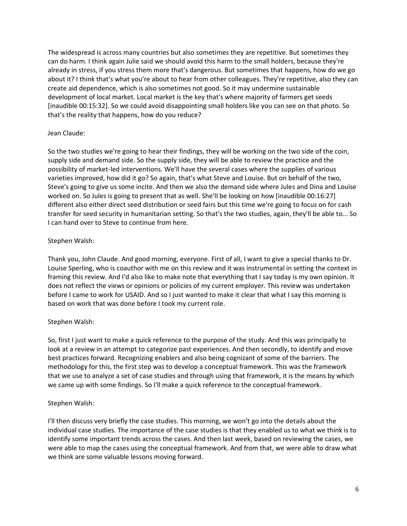The widespread is across many countries but also sometimes they are repetitive. But sometimes they can do harm. I think again Julie said we should avoid this harm to the small holders, because they're already in stress, if you stress them more that's dangerous. But sometimes that happens, how do we go about it? I think that's what you're about to hear from other colleagues. They're repetitive, also they can create aid dependence, which is also sometimes not good. So it may undermine sustainable development of local market. Local market is the key that's where majority of farmers get seeds [inaudible 00:15:32]. So we could avoid disappointing small holders like you can see on that photo. So that's the reality that happens, how do you reduce?

#### Jean Claude:

So the two studies we're going to hear their findings, they will be working on the two side of the coin, supply side and demand side. So the supply side, they will be able to review the practice and the possibility of market-led interventions. We'll have the several cases where the supplies of various varieties improved, how did it go? So again, that's what Steve and Louise. But on behalf of the two, Steve's going to give us some incite. And then we also the demand side where Jules and Dina and Louise worked on. So Jules is going to present that as well. She'll be looking on how [inaudible 00:16:27] different also either direct seed distribution or seed fairs but this time we're going to focus on for cash transfer for seed security in humanitarian setting. So that's the two studies, again, they'll be able to... So I can hand over to Steve to continue from here.

## Stephen Walsh:

Thank you, John Claude. And good morning, everyone. First of all, I want to give a special thanks to Dr. Louise Sperling, who is coauthor with me on this review and it was instrumental in setting the context in framing this review. And I'd also like to make note that everything that I say today is my own opinion. It does not reflect the views or opinions or policies of my current employer. This review was undertaken before I came to work for USAID. And so I just wanted to make it clear that what I say this morning is based on work that was done before I took my current role.

## Stephen Walsh:

So, first I just want to make a quick reference to the purpose of the study. And this was principally to look at a review in an attempt to categorize past experiences. And then secondly, to identify and move best practices forward. Recognizing enablers and also being cognizant of some of the barriers. The methodology for this, the first step was to develop a conceptual framework. This was the framework that we use to analyze a set of case studies and through using that framework, it is the means by which we came up with some findings. So I'll make a quick reference to the conceptual framework.

#### Stephen Walsh:

I'll then discuss very briefly the case studies. This morning, we won't go into the details about the individual case studies. The importance of the case studies is that they enabled us to what we think is to identify some important trends across the cases. And then last week, based on reviewing the cases, we were able to map the cases using the conceptual framework. And from that, we were able to draw what we think are some valuable lessons moving forward.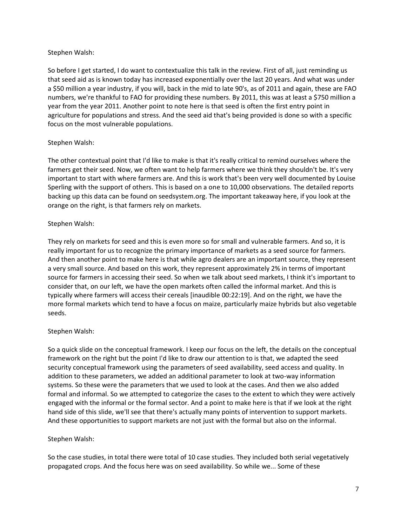#### Stephen Walsh:

So before I get started, I do want to contextualize this talk in the review. First of all, just reminding us that seed aid as is known today has increased exponentially over the last 20 years. And what was under a \$50 million a year industry, if you will, back in the mid to late 90's, as of 2011 and again, these are FAO numbers, we're thankful to FAO for providing these numbers. By 2011, this was at least a \$750 million a year from the year 2011. Another point to note here is that seed is often the first entry point in agriculture for populations and stress. And the seed aid that's being provided is done so with a specific focus on the most vulnerable populations.

## Stephen Walsh:

The other contextual point that I'd like to make is that it's really critical to remind ourselves where the farmers get their seed. Now, we often want to help farmers where we think they shouldn't be. It's very important to start with where farmers are. And this is work that's been very well documented by Louise Sperling with the support of others. This is based on a one to 10,000 observations. The detailed reports backing up this data can be found on seedsystem.org. The important takeaway here, if you look at the orange on the right, is that farmers rely on markets.

## Stephen Walsh:

They rely on markets for seed and this is even more so for small and vulnerable farmers. And so, it is really important for us to recognize the primary importance of markets as a seed source for farmers. And then another point to make here is that while agro dealers are an important source, they represent a very small source. And based on this work, they represent approximately 2% in terms of important source for farmers in accessing their seed. So when we talk about seed markets, I think it's important to consider that, on our left, we have the open markets often called the informal market. And this is typically where farmers will access their cereals [inaudible 00:22:19]. And on the right, we have the more formal markets which tend to have a focus on maize, particularly maize hybrids but also vegetable seeds.

#### Stephen Walsh:

So a quick slide on the conceptual framework. I keep our focus on the left, the details on the conceptual framework on the right but the point I'd like to draw our attention to is that, we adapted the seed security conceptual framework using the parameters of seed availability, seed access and quality. In addition to these parameters, we added an additional parameter to look at two-way information systems. So these were the parameters that we used to look at the cases. And then we also added formal and informal. So we attempted to categorize the cases to the extent to which they were actively engaged with the informal or the formal sector. And a point to make here is that if we look at the right hand side of this slide, we'll see that there's actually many points of intervention to support markets. And these opportunities to support markets are not just with the formal but also on the informal.

#### Stephen Walsh:

So the case studies, in total there were total of 10 case studies. They included both serial vegetatively propagated crops. And the focus here was on seed availability. So while we... Some of these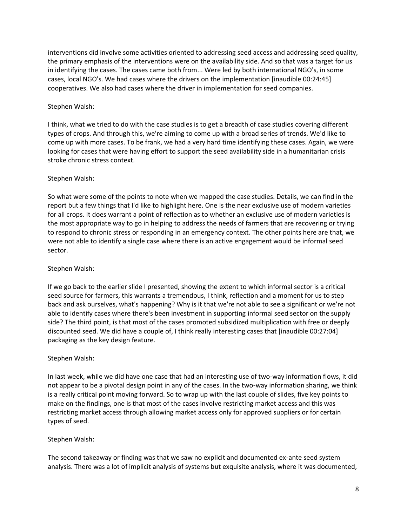interventions did involve some activities oriented to addressing seed access and addressing seed quality, the primary emphasis of the interventions were on the availability side. And so that was a target for us in identifying the cases. The cases came both from... Were led by both international NGO's, in some cases, local NGO's. We had cases where the drivers on the implementation [inaudible 00:24:45] cooperatives. We also had cases where the driver in implementation for seed companies.

## Stephen Walsh:

I think, what we tried to do with the case studies is to get a breadth of case studies covering different types of crops. And through this, we're aiming to come up with a broad series of trends. We'd like to come up with more cases. To be frank, we had a very hard time identifying these cases. Again, we were looking for cases that were having effort to support the seed availability side in a humanitarian crisis stroke chronic stress context.

## Stephen Walsh:

So what were some of the points to note when we mapped the case studies. Details, we can find in the report but a few things that I'd like to highlight here. One is the near exclusive use of modern varieties for all crops. It does warrant a point of reflection as to whether an exclusive use of modern varieties is the most appropriate way to go in helping to address the needs of farmers that are recovering or trying to respond to chronic stress or responding in an emergency context. The other points here are that, we were not able to identify a single case where there is an active engagement would be informal seed sector.

## Stephen Walsh:

If we go back to the earlier slide I presented, showing the extent to which informal sector is a critical seed source for farmers, this warrants a tremendous, I think, reflection and a moment for us to step back and ask ourselves, what's happening? Why is it that we're not able to see a significant or we're not able to identify cases where there's been investment in supporting informal seed sector on the supply side? The third point, is that most of the cases promoted subsidized multiplication with free or deeply discounted seed. We did have a couple of, I think really interesting cases that [inaudible 00:27:04] packaging as the key design feature.

## Stephen Walsh:

In last week, while we did have one case that had an interesting use of two-way information flows, it did not appear to be a pivotal design point in any of the cases. In the two-way information sharing, we think is a really critical point moving forward. So to wrap up with the last couple of slides, five key points to make on the findings, one is that most of the cases involve restricting market access and this was restricting market access through allowing market access only for approved suppliers or for certain types of seed.

#### Stephen Walsh:

The second takeaway or finding was that we saw no explicit and documented ex-ante seed system analysis. There was a lot of implicit analysis of systems but exquisite analysis, where it was documented,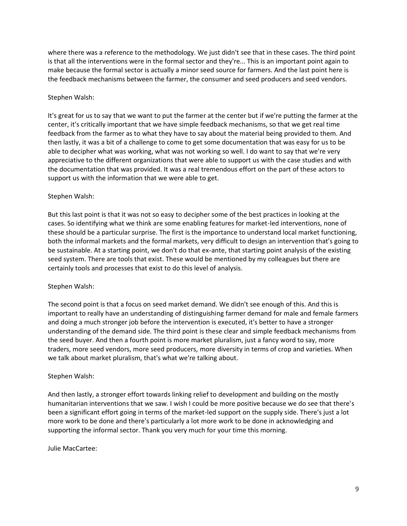where there was a reference to the methodology. We just didn't see that in these cases. The third point is that all the interventions were in the formal sector and they're... This is an important point again to make because the formal sector is actually a minor seed source for farmers. And the last point here is the feedback mechanisms between the farmer, the consumer and seed producers and seed vendors.

## Stephen Walsh:

It's great for us to say that we want to put the farmer at the center but if we're putting the farmer at the center, it's critically important that we have simple feedback mechanisms, so that we get real time feedback from the farmer as to what they have to say about the material being provided to them. And then lastly, it was a bit of a challenge to come to get some documentation that was easy for us to be able to decipher what was working, what was not working so well. I do want to say that we're very appreciative to the different organizations that were able to support us with the case studies and with the documentation that was provided. It was a real tremendous effort on the part of these actors to support us with the information that we were able to get.

#### Stephen Walsh:

But this last point is that it was not so easy to decipher some of the best practices in looking at the cases. So identifying what we think are some enabling features for market-led interventions, none of these should be a particular surprise. The first is the importance to understand local market functioning, both the informal markets and the formal markets, very difficult to design an intervention that's going to be sustainable. At a starting point, we don't do that ex-ante, that starting point analysis of the existing seed system. There are tools that exist. These would be mentioned by my colleagues but there are certainly tools and processes that exist to do this level of analysis.

## Stephen Walsh:

The second point is that a focus on seed market demand. We didn't see enough of this. And this is important to really have an understanding of distinguishing farmer demand for male and female farmers and doing a much stronger job before the intervention is executed, it's better to have a stronger understanding of the demand side. The third point is these clear and simple feedback mechanisms from the seed buyer. And then a fourth point is more market pluralism, just a fancy word to say, more traders, more seed vendors, more seed producers, more diversity in terms of crop and varieties. When we talk about market pluralism, that's what we're talking about.

#### Stephen Walsh:

And then lastly, a stronger effort towards linking relief to development and building on the mostly humanitarian interventions that we saw. I wish I could be more positive because we do see that there's been a significant effort going in terms of the market-led support on the supply side. There's just a lot more work to be done and there's particularly a lot more work to be done in acknowledging and supporting the informal sector. Thank you very much for your time this morning.

#### Julie MacCartee: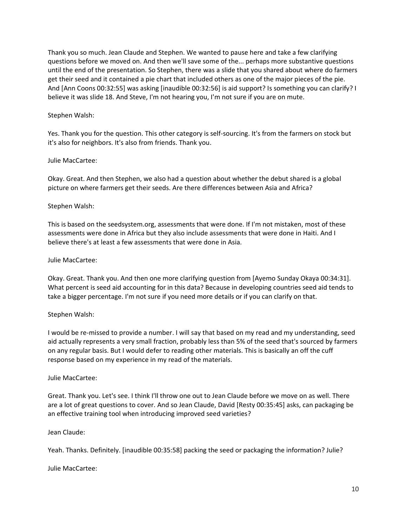Thank you so much. Jean Claude and Stephen. We wanted to pause here and take a few clarifying questions before we moved on. And then we'll save some of the... perhaps more substantive questions until the end of the presentation. So Stephen, there was a slide that you shared about where do farmers get their seed and it contained a pie chart that included others as one of the major pieces of the pie. And [Ann Coons 00:32:55] was asking [inaudible 00:32:56] is aid support? Is something you can clarify? I believe it was slide 18. And Steve, I'm not hearing you, I'm not sure if you are on mute.

#### Stephen Walsh:

Yes. Thank you for the question. This other category is self-sourcing. It's from the farmers on stock but it's also for neighbors. It's also from friends. Thank you.

#### Julie MacCartee:

Okay. Great. And then Stephen, we also had a question about whether the debut shared is a global picture on where farmers get their seeds. Are there differences between Asia and Africa?

#### Stephen Walsh:

This is based on the seedsystem.org, assessments that were done. If I'm not mistaken, most of these assessments were done in Africa but they also include assessments that were done in Haiti. And I believe there's at least a few assessments that were done in Asia.

#### Julie MacCartee:

Okay. Great. Thank you. And then one more clarifying question from [Ayemo Sunday Okaya 00:34:31]. What percent is seed aid accounting for in this data? Because in developing countries seed aid tends to take a bigger percentage. I'm not sure if you need more details or if you can clarify on that.

#### Stephen Walsh:

I would be re-missed to provide a number. I will say that based on my read and my understanding, seed aid actually represents a very small fraction, probably less than 5% of the seed that's sourced by farmers on any regular basis. But I would defer to reading other materials. This is basically an off the cuff response based on my experience in my read of the materials.

#### Julie MacCartee:

Great. Thank you. Let's see. I think I'll throw one out to Jean Claude before we move on as well. There are a lot of great questions to cover. And so Jean Claude, David [Resty 00:35:45] asks, can packaging be an effective training tool when introducing improved seed varieties?

#### Jean Claude:

Yeah. Thanks. Definitely. [inaudible 00:35:58] packing the seed or packaging the information? Julie?

Julie MacCartee: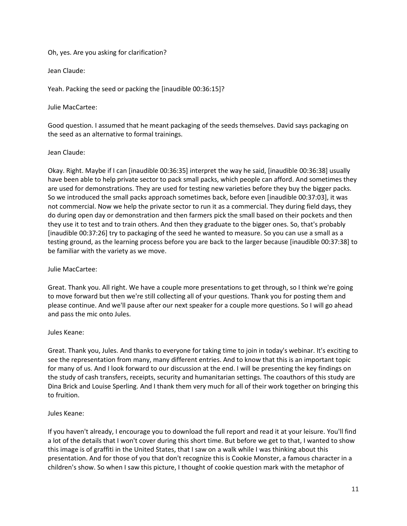#### Oh, yes. Are you asking for clarification?

Jean Claude:

Yeah. Packing the seed or packing the [inaudible 00:36:15]?

#### Julie MacCartee:

Good question. I assumed that he meant packaging of the seeds themselves. David says packaging on the seed as an alternative to formal trainings.

#### Jean Claude:

Okay. Right. Maybe if I can [inaudible 00:36:35] interpret the way he said, [inaudible 00:36:38] usually have been able to help private sector to pack small packs, which people can afford. And sometimes they are used for demonstrations. They are used for testing new varieties before they buy the bigger packs. So we introduced the small packs approach sometimes back, before even [inaudible 00:37:03], it was not commercial. Now we help the private sector to run it as a commercial. They during field days, they do during open day or demonstration and then farmers pick the small based on their pockets and then they use it to test and to train others. And then they graduate to the bigger ones. So, that's probably [inaudible 00:37:26] try to packaging of the seed he wanted to measure. So you can use a small as a testing ground, as the learning process before you are back to the larger because [inaudible 00:37:38] to be familiar with the variety as we move.

#### Julie MacCartee:

Great. Thank you. All right. We have a couple more presentations to get through, so I think we're going to move forward but then we're still collecting all of your questions. Thank you for posting them and please continue. And we'll pause after our next speaker for a couple more questions. So I will go ahead and pass the mic onto Jules.

## Jules Keane:

Great. Thank you, Jules. And thanks to everyone for taking time to join in today's webinar. It's exciting to see the representation from many, many different entries. And to know that this is an important topic for many of us. And I look forward to our discussion at the end. I will be presenting the key findings on the study of cash transfers, receipts, security and humanitarian settings. The coauthors of this study are Dina Brick and Louise Sperling. And I thank them very much for all of their work together on bringing this to fruition.

#### Jules Keane:

If you haven't already, I encourage you to download the full report and read it at your leisure. You'll find a lot of the details that I won't cover during this short time. But before we get to that, I wanted to show this image is of graffiti in the United States, that I saw on a walk while I was thinking about this presentation. And for those of you that don't recognize this is Cookie Monster, a famous character in a children's show. So when I saw this picture, I thought of cookie question mark with the metaphor of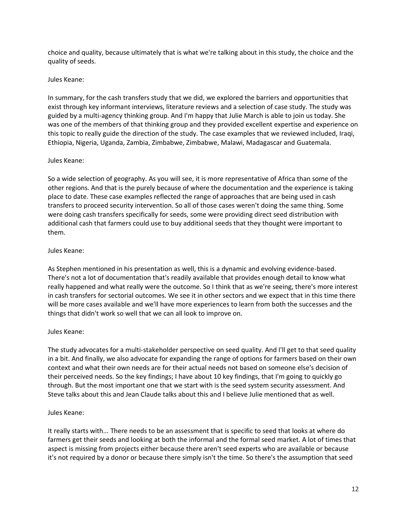choice and quality, because ultimately that is what we're talking about in this study, the choice and the quality of seeds.

#### Jules Keane:

In summary, for the cash transfers study that we did, we explored the barriers and opportunities that exist through key informant interviews, literature reviews and a selection of case study. The study was guided by a multi-agency thinking group. And I'm happy that Julie March is able to join us today. She was one of the members of that thinking group and they provided excellent expertise and experience on this topic to really guide the direction of the study. The case examples that we reviewed included, Iraqi, Ethiopia, Nigeria, Uganda, Zambia, Zimbabwe, Zimbabwe, Malawi, Madagascar and Guatemala.

#### Jules Keane:

So a wide selection of geography. As you will see, it is more representative of Africa than some of the other regions. And that is the purely because of where the documentation and the experience is taking place to date. These case examples reflected the range of approaches that are being used in cash transfers to proceed security intervention. So all of those cases weren't doing the same thing. Some were doing cash transfers specifically for seeds, some were providing direct seed distribution with additional cash that farmers could use to buy additional seeds that they thought were important to them.

#### Jules Keane:

As Stephen mentioned in his presentation as well, this is a dynamic and evolving evidence-based. There's not a lot of documentation that's readily available that provides enough detail to know what really happened and what really were the outcome. So I think that as we're seeing, there's more interest in cash transfers for sectorial outcomes. We see it in other sectors and we expect that in this time there will be more cases available and we'll have more experiences to learn from both the successes and the things that didn't work so well that we can all look to improve on.

#### Jules Keane:

The study advocates for a multi-stakeholder perspective on seed quality. And I'll get to that seed quality in a bit. And finally, we also advocate for expanding the range of options for farmers based on their own context and what their own needs are for their actual needs not based on someone else's decision of their perceived needs. So the key findings; I have about 10 key findings, that I'm going to quickly go through. But the most important one that we start with is the seed system security assessment. And Steve talks about this and Jean Claude talks about this and I believe Julie mentioned that as well.

#### Jules Keane:

It really starts with... There needs to be an assessment that is specific to seed that looks at where do farmers get their seeds and looking at both the informal and the formal seed market. A lot of times that aspect is missing from projects either because there aren't seed experts who are available or because it's not required by a donor or because there simply isn't the time. So there's the assumption that seed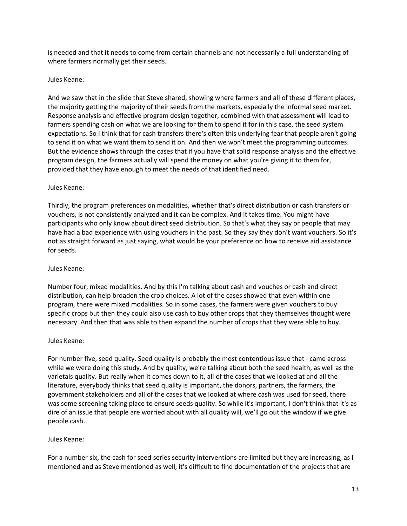is needed and that it needs to come from certain channels and not necessarily a full understanding of where farmers normally get their seeds.

#### Jules Keane:

And we saw that in the slide that Steve shared, showing where farmers and all of these different places, the majority getting the majority of their seeds from the markets, especially the informal seed market. Response analysis and effective program design together, combined with that assessment will lead to farmers spending cash on what we are looking for them to spend it for in this case, the seed system expectations. So I think that for cash transfers there's often this underlying fear that people aren't going to send it on what we want them to send it on. And then we won't meet the programming outcomes. But the evidence shows through the cases that if you have that solid response analysis and the effective program design, the farmers actually will spend the money on what you're giving it to them for, provided that they have enough to meet the needs of that identified need.

#### Jules Keane:

Thirdly, the program preferences on modalities, whether that's direct distribution or cash transfers or vouchers, is not consistently analyzed and it can be complex. And it takes time. You might have participants who only know about direct seed distribution. So that's what they say or people that may have had a bad experience with using vouchers in the past. So they say they don't want vouchers. So it's not as straight forward as just saying, what would be your preference on how to receive aid assistance for seeds.

#### Jules Keane:

Number four, mixed modalities. And by this I'm talking about cash and vouches or cash and direct distribution, can help broaden the crop choices. A lot of the cases showed that even within one program, there were mixed modalities. So in some cases, the farmers were given vouchers to buy specific crops but then they could also use cash to buy other crops that they themselves thought were necessary. And then that was able to then expand the number of crops that they were able to buy.

#### Jules Keane:

For number five, seed quality. Seed quality is probably the most contentious issue that I came across while we were doing this study. And by quality, we're talking about both the seed health, as well as the varietals quality. But really when it comes down to it, all of the cases that we looked at and all the literature, everybody thinks that seed quality is important, the donors, partners, the farmers, the government stakeholders and all of the cases that we looked at where cash was used for seed, there was some screening taking place to ensure seeds quality. So while it's important, I don't think that it's as dire of an issue that people are worried about with all quality will, we'll go out the window if we give people cash.

#### Jules Keane:

For a number six, the cash for seed series security interventions are limited but they are increasing, as I mentioned and as Steve mentioned as well, it's difficult to find documentation of the projects that are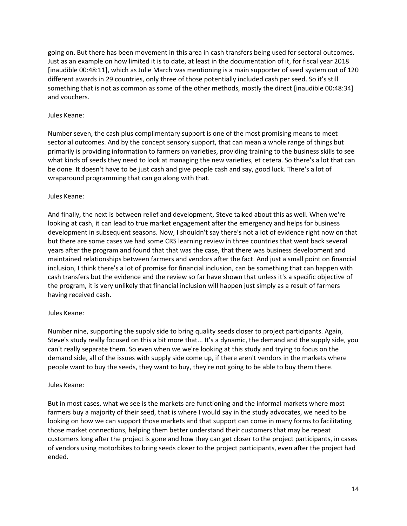going on. But there has been movement in this area in cash transfers being used for sectoral outcomes. Just as an example on how limited it is to date, at least in the documentation of it, for fiscal year 2018 [inaudible 00:48:11], which as Julie March was mentioning is a main supporter of seed system out of 120 different awards in 29 countries, only three of those potentially included cash per seed. So it's still something that is not as common as some of the other methods, mostly the direct [inaudible 00:48:34] and vouchers.

#### Jules Keane:

Number seven, the cash plus complimentary support is one of the most promising means to meet sectorial outcomes. And by the concept sensory support, that can mean a whole range of things but primarily is providing information to farmers on varieties, providing training to the business skills to see what kinds of seeds they need to look at managing the new varieties, et cetera. So there's a lot that can be done. It doesn't have to be just cash and give people cash and say, good luck. There's a lot of wraparound programming that can go along with that.

#### Jules Keane:

And finally, the next is between relief and development, Steve talked about this as well. When we're looking at cash, it can lead to true market engagement after the emergency and helps for business development in subsequent seasons. Now, I shouldn't say there's not a lot of evidence right now on that but there are some cases we had some CRS learning review in three countries that went back several years after the program and found that that was the case, that there was business development and maintained relationships between farmers and vendors after the fact. And just a small point on financial inclusion, I think there's a lot of promise for financial inclusion, can be something that can happen with cash transfers but the evidence and the review so far have shown that unless it's a specific objective of the program, it is very unlikely that financial inclusion will happen just simply as a result of farmers having received cash.

## Jules Keane:

Number nine, supporting the supply side to bring quality seeds closer to project participants. Again, Steve's study really focused on this a bit more that... It's a dynamic, the demand and the supply side, you can't really separate them. So even when we we're looking at this study and trying to focus on the demand side, all of the issues with supply side come up, if there aren't vendors in the markets where people want to buy the seeds, they want to buy, they're not going to be able to buy them there.

#### Jules Keane:

But in most cases, what we see is the markets are functioning and the informal markets where most farmers buy a majority of their seed, that is where I would say in the study advocates, we need to be looking on how we can support those markets and that support can come in many forms to facilitating those market connections, helping them better understand their customers that may be repeat customers long after the project is gone and how they can get closer to the project participants, in cases of vendors using motorbikes to bring seeds closer to the project participants, even after the project had ended.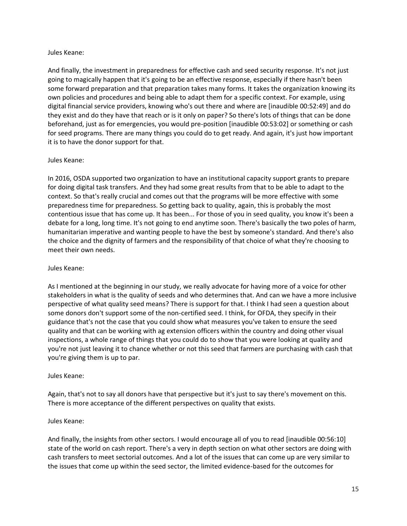#### Jules Keane:

And finally, the investment in preparedness for effective cash and seed security response. It's not just going to magically happen that it's going to be an effective response, especially if there hasn't been some forward preparation and that preparation takes many forms. It takes the organization knowing its own policies and procedures and being able to adapt them for a specific context. For example, using digital financial service providers, knowing who's out there and where are [inaudible 00:52:49] and do they exist and do they have that reach or is it only on paper? So there's lots of things that can be done beforehand, just as for emergencies, you would pre-position [inaudible 00:53:02] or something or cash for seed programs. There are many things you could do to get ready. And again, it's just how important it is to have the donor support for that.

#### Jules Keane:

In 2016, OSDA supported two organization to have an institutional capacity support grants to prepare for doing digital task transfers. And they had some great results from that to be able to adapt to the context. So that's really crucial and comes out that the programs will be more effective with some preparedness time for preparedness. So getting back to quality, again, this is probably the most contentious issue that has come up. It has been... For those of you in seed quality, you know it's been a debate for a long, long time. It's not going to end anytime soon. There's basically the two poles of harm, humanitarian imperative and wanting people to have the best by someone's standard. And there's also the choice and the dignity of farmers and the responsibility of that choice of what they're choosing to meet their own needs.

#### Jules Keane:

As I mentioned at the beginning in our study, we really advocate for having more of a voice for other stakeholders in what is the quality of seeds and who determines that. And can we have a more inclusive perspective of what quality seed means? There is support for that. I think I had seen a question about some donors don't support some of the non-certified seed. I think, for OFDA, they specify in their guidance that's not the case that you could show what measures you've taken to ensure the seed quality and that can be working with ag extension officers within the country and doing other visual inspections, a whole range of things that you could do to show that you were looking at quality and you're not just leaving it to chance whether or not this seed that farmers are purchasing with cash that you're giving them is up to par.

#### Jules Keane:

Again, that's not to say all donors have that perspective but it's just to say there's movement on this. There is more acceptance of the different perspectives on quality that exists.

#### Jules Keane:

And finally, the insights from other sectors. I would encourage all of you to read [inaudible 00:56:10] state of the world on cash report. There's a very in depth section on what other sectors are doing with cash transfers to meet sectorial outcomes. And a lot of the issues that can come up are very similar to the issues that come up within the seed sector, the limited evidence-based for the outcomes for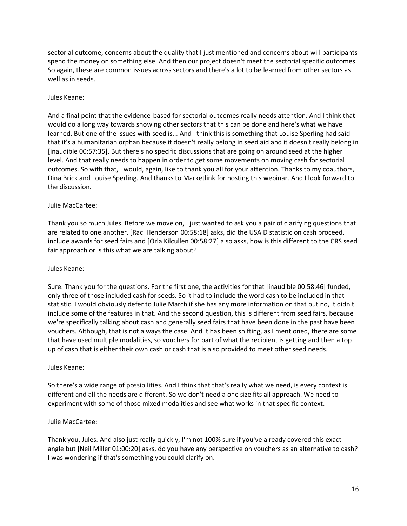sectorial outcome, concerns about the quality that I just mentioned and concerns about will participants spend the money on something else. And then our project doesn't meet the sectorial specific outcomes. So again, these are common issues across sectors and there's a lot to be learned from other sectors as well as in seeds.

#### Jules Keane:

And a final point that the evidence-based for sectorial outcomes really needs attention. And I think that would do a long way towards showing other sectors that this can be done and here's what we have learned. But one of the issues with seed is... And I think this is something that Louise Sperling had said that it's a humanitarian orphan because it doesn't really belong in seed aid and it doesn't really belong in [inaudible 00:57:35]. But there's no specific discussions that are going on around seed at the higher level. And that really needs to happen in order to get some movements on moving cash for sectorial outcomes. So with that, I would, again, like to thank you all for your attention. Thanks to my coauthors, Dina Brick and Louise Sperling. And thanks to Marketlink for hosting this webinar. And I look forward to the discussion.

## Julie MacCartee:

Thank you so much Jules. Before we move on, I just wanted to ask you a pair of clarifying questions that are related to one another. [Raci Henderson 00:58:18] asks, did the USAID statistic on cash proceed, include awards for seed fairs and [Orla Kilcullen 00:58:27] also asks, how is this different to the CRS seed fair approach or is this what we are talking about?

#### Jules Keane:

Sure. Thank you for the questions. For the first one, the activities for that [inaudible 00:58:46] funded, only three of those included cash for seeds. So it had to include the word cash to be included in that statistic. I would obviously defer to Julie March if she has any more information on that but no, it didn't include some of the features in that. And the second question, this is different from seed fairs, because we're specifically talking about cash and generally seed fairs that have been done in the past have been vouchers. Although, that is not always the case. And it has been shifting, as I mentioned, there are some that have used multiple modalities, so vouchers for part of what the recipient is getting and then a top up of cash that is either their own cash or cash that is also provided to meet other seed needs.

#### Jules Keane:

So there's a wide range of possibilities. And I think that that's really what we need, is every context is different and all the needs are different. So we don't need a one size fits all approach. We need to experiment with some of those mixed modalities and see what works in that specific context.

#### Julie MacCartee:

Thank you, Jules. And also just really quickly, I'm not 100% sure if you've already covered this exact angle but [Neil Miller 01:00:20] asks, do you have any perspective on vouchers as an alternative to cash? I was wondering if that's something you could clarify on.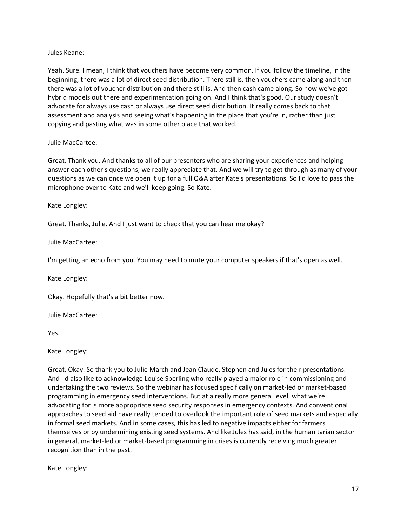#### Jules Keane:

Yeah. Sure. I mean, I think that vouchers have become very common. If you follow the timeline, in the beginning, there was a lot of direct seed distribution. There still is, then vouchers came along and then there was a lot of voucher distribution and there still is. And then cash came along. So now we've got hybrid models out there and experimentation going on. And I think that's good. Our study doesn't advocate for always use cash or always use direct seed distribution. It really comes back to that assessment and analysis and seeing what's happening in the place that you're in, rather than just copying and pasting what was in some other place that worked.

#### Julie MacCartee:

Great. Thank you. And thanks to all of our presenters who are sharing your experiences and helping answer each other's questions, we really appreciate that. And we will try to get through as many of your questions as we can once we open it up for a full Q&A after Kate's presentations. So I'd love to pass the microphone over to Kate and we'll keep going. So Kate.

#### Kate Longley:

Great. Thanks, Julie. And I just want to check that you can hear me okay?

Julie MacCartee:

I'm getting an echo from you. You may need to mute your computer speakers if that's open as well.

Kate Longley:

Okay. Hopefully that's a bit better now.

Julie MacCartee:

Yes.

Kate Longley:

Great. Okay. So thank you to Julie March and Jean Claude, Stephen and Jules for their presentations. And I'd also like to acknowledge Louise Sperling who really played a major role in commissioning and undertaking the two reviews. So the webinar has focused specifically on market-led or market-based programming in emergency seed interventions. But at a really more general level, what we're advocating for is more appropriate seed security responses in emergency contexts. And conventional approaches to seed aid have really tended to overlook the important role of seed markets and especially in formal seed markets. And in some cases, this has led to negative impacts either for farmers themselves or by undermining existing seed systems. And like Jules has said, in the humanitarian sector in general, market-led or market-based programming in crises is currently receiving much greater recognition than in the past.

Kate Longley: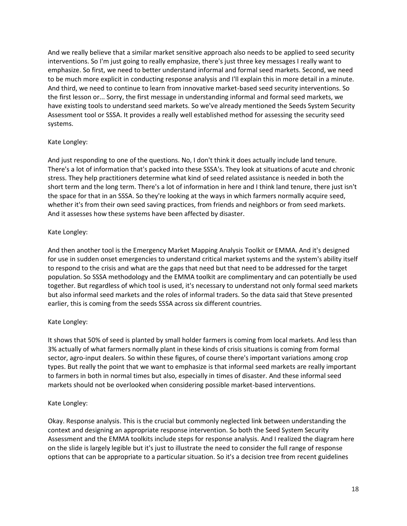And we really believe that a similar market sensitive approach also needs to be applied to seed security interventions. So I'm just going to really emphasize, there's just three key messages I really want to emphasize. So first, we need to better understand informal and formal seed markets. Second, we need to be much more explicit in conducting response analysis and I'll explain this in more detail in a minute. And third, we need to continue to learn from innovative market-based seed security interventions. So the first lesson or... Sorry, the first message in understanding informal and formal seed markets, we have existing tools to understand seed markets. So we've already mentioned the Seeds System Security Assessment tool or SSSA. It provides a really well established method for assessing the security seed systems.

## Kate Longley:

And just responding to one of the questions. No, I don't think it does actually include land tenure. There's a lot of information that's packed into these SSSA's. They look at situations of acute and chronic stress. They help practitioners determine what kind of seed related assistance is needed in both the short term and the long term. There's a lot of information in here and I think land tenure, there just isn't the space for that in an SSSA. So they're looking at the ways in which farmers normally acquire seed, whether it's from their own seed saving practices, from friends and neighbors or from seed markets. And it assesses how these systems have been affected by disaster.

## Kate Longley:

And then another tool is the Emergency Market Mapping Analysis Toolkit or EMMA. And it's designed for use in sudden onset emergencies to understand critical market systems and the system's ability itself to respond to the crisis and what are the gaps that need but that need to be addressed for the target population. So SSSA methodology and the EMMA toolkit are complimentary and can potentially be used together. But regardless of which tool is used, it's necessary to understand not only formal seed markets but also informal seed markets and the roles of informal traders. So the data said that Steve presented earlier, this is coming from the seeds SSSA across six different countries.

## Kate Longley:

It shows that 50% of seed is planted by small holder farmers is coming from local markets. And less than 3% actually of what farmers normally plant in these kinds of crisis situations is coming from formal sector, agro-input dealers. So within these figures, of course there's important variations among crop types. But really the point that we want to emphasize is that informal seed markets are really important to farmers in both in normal times but also, especially in times of disaster. And these informal seed markets should not be overlooked when considering possible market-based interventions.

#### Kate Longley:

Okay. Response analysis. This is the crucial but commonly neglected link between understanding the context and designing an appropriate response intervention. So both the Seed System Security Assessment and the EMMA toolkits include steps for response analysis. And I realized the diagram here on the slide is largely legible but it's just to illustrate the need to consider the full range of response options that can be appropriate to a particular situation. So it's a decision tree from recent guidelines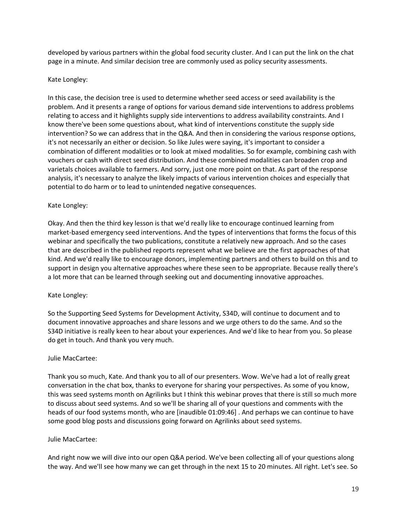developed by various partners within the global food security cluster. And I can put the link on the chat page in a minute. And similar decision tree are commonly used as policy security assessments.

#### Kate Longley:

In this case, the decision tree is used to determine whether seed access or seed availability is the problem. And it presents a range of options for various demand side interventions to address problems relating to access and it highlights supply side interventions to address availability constraints. And I know there've been some questions about, what kind of interventions constitute the supply side intervention? So we can address that in the Q&A. And then in considering the various response options, it's not necessarily an either or decision. So like Jules were saying, it's important to consider a combination of different modalities or to look at mixed modalities. So for example, combining cash with vouchers or cash with direct seed distribution. And these combined modalities can broaden crop and varietals choices available to farmers. And sorry, just one more point on that. As part of the response analysis, it's necessary to analyze the likely impacts of various intervention choices and especially that potential to do harm or to lead to unintended negative consequences.

## Kate Longley:

Okay. And then the third key lesson is that we'd really like to encourage continued learning from market-based emergency seed interventions. And the types of interventions that forms the focus of this webinar and specifically the two publications, constitute a relatively new approach. And so the cases that are described in the published reports represent what we believe are the first approaches of that kind. And we'd really like to encourage donors, implementing partners and others to build on this and to support in design you alternative approaches where these seen to be appropriate. Because really there's a lot more that can be learned through seeking out and documenting innovative approaches.

#### Kate Longley:

So the Supporting Seed Systems for Development Activity, S34D, will continue to document and to document innovative approaches and share lessons and we urge others to do the same. And so the S34D initiative is really keen to hear about your experiences. And we'd like to hear from you. So please do get in touch. And thank you very much.

#### Julie MacCartee:

Thank you so much, Kate. And thank you to all of our presenters. Wow. We've had a lot of really great conversation in the chat box, thanks to everyone for sharing your perspectives. As some of you know, this was seed systems month on Agrilinks but I think this webinar proves that there is still so much more to discuss about seed systems. And so we'll be sharing all of your questions and comments with the heads of our food systems month, who are [inaudible 01:09:46] . And perhaps we can continue to have some good blog posts and discussions going forward on Agrilinks about seed systems.

#### Julie MacCartee:

And right now we will dive into our open Q&A period. We've been collecting all of your questions along the way. And we'll see how many we can get through in the next 15 to 20 minutes. All right. Let's see. So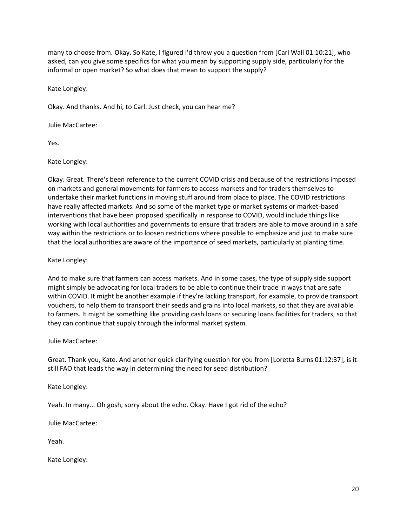many to choose from. Okay. So Kate, I figured I'd throw you a question from [Carl Wall 01:10:21], who asked, can you give some specifics for what you mean by supporting supply side, particularly for the informal or open market? So what does that mean to support the supply?

Kate Longley:

Okay. And thanks. And hi, to Carl. Just check, you can hear me?

Julie MacCartee:

Yes.

Kate Longley:

Okay. Great. There's been reference to the current COVID crisis and because of the restrictions imposed on markets and general movements for farmers to access markets and for traders themselves to undertake their market functions in moving stuff around from place to place. The COVID restrictions have really affected markets. And so some of the market type or market systems or market-based interventions that have been proposed specifically in response to COVID, would include things like working with local authorities and governments to ensure that traders are able to move around in a safe way within the restrictions or to loosen restrictions where possible to emphasize and just to make sure that the local authorities are aware of the importance of seed markets, particularly at planting time.

Kate Longley:

And to make sure that farmers can access markets. And in some cases, the type of supply side support might simply be advocating for local traders to be able to continue their trade in ways that are safe within COVID. It might be another example if they're lacking transport, for example, to provide transport vouchers, to help them to transport their seeds and grains into local markets, so that they are available to farmers. It might be something like providing cash loans or securing loans facilities for traders, so that they can continue that supply through the informal market system.

Julie MacCartee:

Great. Thank you, Kate. And another quick clarifying question for you from [Loretta Burns 01:12:37], is it still FAO that leads the way in determining the need for seed distribution?

Kate Longley:

Yeah. In many... Oh gosh, sorry about the echo. Okay. Have I got rid of the echo?

Julie MacCartee:

Yeah.

Kate Longley: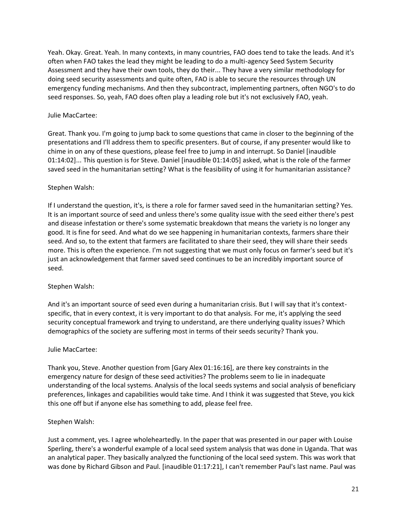Yeah. Okay. Great. Yeah. In many contexts, in many countries, FAO does tend to take the leads. And it's often when FAO takes the lead they might be leading to do a multi-agency Seed System Security Assessment and they have their own tools, they do their... They have a very similar methodology for doing seed security assessments and quite often, FAO is able to secure the resources through UN emergency funding mechanisms. And then they subcontract, implementing partners, often NGO's to do seed responses. So, yeah, FAO does often play a leading role but it's not exclusively FAO, yeah.

#### Julie MacCartee:

Great. Thank you. I'm going to jump back to some questions that came in closer to the beginning of the presentations and I'll address them to specific presenters. But of course, if any presenter would like to chime in on any of these questions, please feel free to jump in and interrupt. So Daniel [inaudible 01:14:02]... This question is for Steve. Daniel [inaudible 01:14:05] asked, what is the role of the farmer saved seed in the humanitarian setting? What is the feasibility of using it for humanitarian assistance?

## Stephen Walsh:

If I understand the question, it's, is there a role for farmer saved seed in the humanitarian setting? Yes. It is an important source of seed and unless there's some quality issue with the seed either there's pest and disease infestation or there's some systematic breakdown that means the variety is no longer any good. It is fine for seed. And what do we see happening in humanitarian contexts, farmers share their seed. And so, to the extent that farmers are facilitated to share their seed, they will share their seeds more. This is often the experience. I'm not suggesting that we must only focus on farmer's seed but it's just an acknowledgement that farmer saved seed continues to be an incredibly important source of seed.

## Stephen Walsh:

And it's an important source of seed even during a humanitarian crisis. But I will say that it's contextspecific, that in every context, it is very important to do that analysis. For me, it's applying the seed security conceptual framework and trying to understand, are there underlying quality issues? Which demographics of the society are suffering most in terms of their seeds security? Thank you.

#### Julie MacCartee:

Thank you, Steve. Another question from [Gary Alex 01:16:16], are there key constraints in the emergency nature for design of these seed activities? The problems seem to lie in inadequate understanding of the local systems. Analysis of the local seeds systems and social analysis of beneficiary preferences, linkages and capabilities would take time. And I think it was suggested that Steve, you kick this one off but if anyone else has something to add, please feel free.

#### Stephen Walsh:

Just a comment, yes. I agree wholeheartedly. In the paper that was presented in our paper with Louise Sperling, there's a wonderful example of a local seed system analysis that was done in Uganda. That was an analytical paper. They basically analyzed the functioning of the local seed system. This was work that was done by Richard Gibson and Paul. [inaudible 01:17:21], I can't remember Paul's last name. Paul was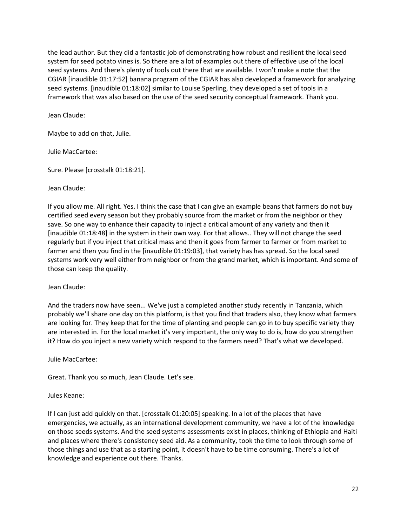the lead author. But they did a fantastic job of demonstrating how robust and resilient the local seed system for seed potato vines is. So there are a lot of examples out there of effective use of the local seed systems. And there's plenty of tools out there that are available. I won't make a note that the CGIAR [inaudible 01:17:52] banana program of the CGIAR has also developed a framework for analyzing seed systems. [inaudible 01:18:02] similar to Louise Sperling, they developed a set of tools in a framework that was also based on the use of the seed security conceptual framework. Thank you.

Jean Claude:

Maybe to add on that, Julie.

Julie MacCartee:

Sure. Please [crosstalk 01:18:21].

Jean Claude:

If you allow me. All right. Yes. I think the case that I can give an example beans that farmers do not buy certified seed every season but they probably source from the market or from the neighbor or they save. So one way to enhance their capacity to inject a critical amount of any variety and then it [inaudible 01:18:48] in the system in their own way. For that allows.. They will not change the seed regularly but if you inject that critical mass and then it goes from farmer to farmer or from market to farmer and then you find in the [inaudible 01:19:03], that variety has has spread. So the local seed systems work very well either from neighbor or from the grand market, which is important. And some of those can keep the quality.

Jean Claude:

And the traders now have seen... We've just a completed another study recently in Tanzania, which probably we'll share one day on this platform, is that you find that traders also, they know what farmers are looking for. They keep that for the time of planting and people can go in to buy specific variety they are interested in. For the local market it's very important, the only way to do is, how do you strengthen it? How do you inject a new variety which respond to the farmers need? That's what we developed.

Julie MacCartee:

Great. Thank you so much, Jean Claude. Let's see.

Jules Keane:

If I can just add quickly on that. [crosstalk 01:20:05] speaking. In a lot of the places that have emergencies, we actually, as an international development community, we have a lot of the knowledge on those seeds systems. And the seed systems assessments exist in places, thinking of Ethiopia and Haiti and places where there's consistency seed aid. As a community, took the time to look through some of those things and use that as a starting point, it doesn't have to be time consuming. There's a lot of knowledge and experience out there. Thanks.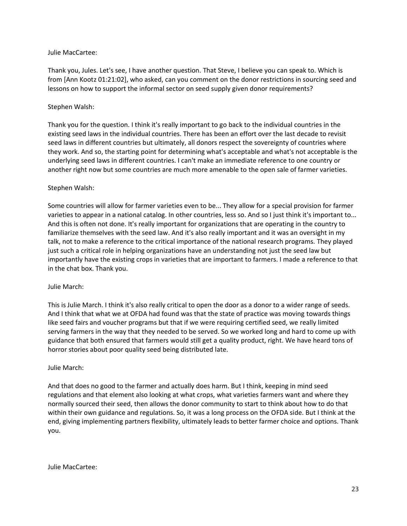#### Julie MacCartee:

Thank you, Jules. Let's see, I have another question. That Steve, I believe you can speak to. Which is from [Ann Kootz 01:21:02], who asked, can you comment on the donor restrictions in sourcing seed and lessons on how to support the informal sector on seed supply given donor requirements?

#### Stephen Walsh:

Thank you for the question. I think it's really important to go back to the individual countries in the existing seed laws in the individual countries. There has been an effort over the last decade to revisit seed laws in different countries but ultimately, all donors respect the sovereignty of countries where they work. And so, the starting point for determining what's acceptable and what's not acceptable is the underlying seed laws in different countries. I can't make an immediate reference to one country or another right now but some countries are much more amenable to the open sale of farmer varieties.

#### Stephen Walsh:

Some countries will allow for farmer varieties even to be... They allow for a special provision for farmer varieties to appear in a national catalog. In other countries, less so. And so I just think it's important to... And this is often not done. It's really important for organizations that are operating in the country to familiarize themselves with the seed law. And it's also really important and it was an oversight in my talk, not to make a reference to the critical importance of the national research programs. They played just such a critical role in helping organizations have an understanding not just the seed law but importantly have the existing crops in varieties that are important to farmers. I made a reference to that in the chat box. Thank you.

#### Julie March:

This is Julie March. I think it's also really critical to open the door as a donor to a wider range of seeds. And I think that what we at OFDA had found was that the state of practice was moving towards things like seed fairs and voucher programs but that if we were requiring certified seed, we really limited serving farmers in the way that they needed to be served. So we worked long and hard to come up with guidance that both ensured that farmers would still get a quality product, right. We have heard tons of horror stories about poor quality seed being distributed late.

#### Julie March:

And that does no good to the farmer and actually does harm. But I think, keeping in mind seed regulations and that element also looking at what crops, what varieties farmers want and where they normally sourced their seed, then allows the donor community to start to think about how to do that within their own guidance and regulations. So, it was a long process on the OFDA side. But I think at the end, giving implementing partners flexibility, ultimately leads to better farmer choice and options. Thank you.

Julie MacCartee: